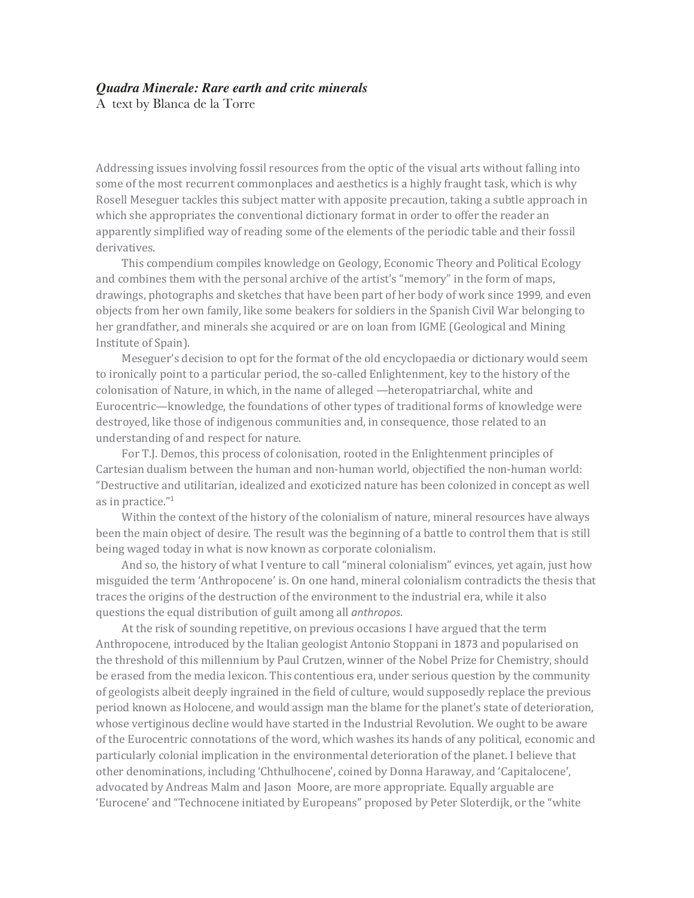## *Quadra Minerale: Rare earth and critc minerals*

A text by Blanca de la Torre

Addressing issues involving fossil resources from the optic of the visual arts without falling into some of the most recurrent commonplaces and aesthetics is a highly fraught task, which is why Rosell Meseguer tackles this subject matter with apposite precaution, taking a subtle approach in which she appropriates the conventional dictionary format in order to offer the reader an apparently simplified way of reading some of the elements of the periodic table and their fossil derivatives.

This compendium compiles knowledge on Geology, Economic Theory and Political Ecology and combines them with the personal archive of the artist's "memory" in the form of maps, drawings, photographs and sketches that have been part of her body of work since 1999, and even objects from her own family, like some beakers for soldiers in the Spanish Civil War belonging to her grandfather, and minerals she acquired or are on loan from IGME (Geological and Mining Institute of Spain).

Meseguer's decision to opt for the format of the old encyclopaedia or dictionary would seem to ironically point to a particular period, the so-called Enlightenment, key to the history of the colonisation of Nature, in which, in the name of alleged —heteropatriarchal, white and Eurocentric—knowledge, the foundations of other types of traditional forms of knowledge were destroyed, like those of indigenous communities and, in consequence, those related to an understanding of and respect for nature.

For T.J. Demos, this process of colonisation, rooted in the Enlightenment principles of Cartesian dualism between the human and non-human world, objectified the non-human world: "Destructive and utilitarian, idealized and exoticized nature has been colonized in concept as well as in practice."<sup>1</sup>

Within the context of the history of the colonialism of nature, mineral resources have always been the main object of desire. The result was the beginning of a battle to control them that is still being waged today in what is now known as corporate colonialism.

And so, the history of what I venture to call "mineral colonialism" evinces, yet again, just how misguided the term 'Anthropocene' is. On one hand, mineral colonialism contradicts the thesis that traces the origins of the destruction of the environment to the industrial era, while it also questions the equal distribution of guilt among all *anthropos*.

At the risk of sounding repetitive, on previous occasions I have argued that the term Anthropocene, introduced by the Italian geologist Antonio Stoppani in 1873 and popularised on the threshold of this millennium by Paul Crutzen, winner of the Nobel Prize for Chemistry, should be erased from the media lexicon. This contentious era, under serious question by the community of geologists albeit deeply ingrained in the field of culture, would supposedly replace the previous period known as Holocene, and would assign man the blame for the planet's state of deterioration, whose vertiginous decline would have started in the Industrial Revolution. We ought to be aware of the Eurocentric connotations of the word, which washes its hands of any political, economic and particularly colonial implication in the environmental deterioration of the planet. I believe that other denominations, including 'Chthulhocene', coined by Donna Haraway, and 'Capitalocene', advocated by Andreas Malm and Jason Moore, are more appropriate. Equally arguable are 'Eurocene' and "Technocene initiated by Europeans" proposed by Peter Sloterdijk, or the "white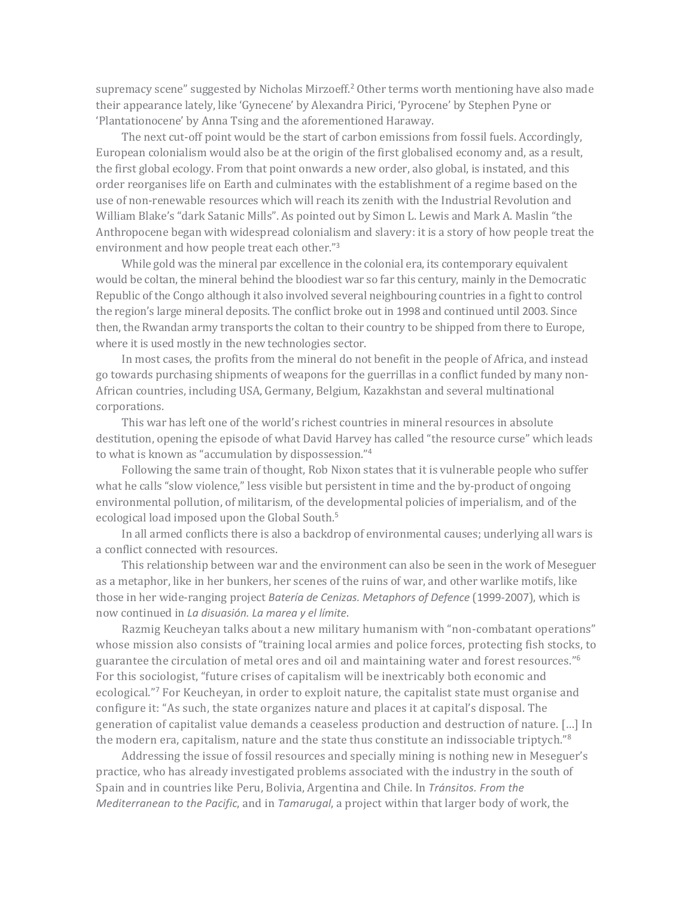supremacy scene" suggested by Nicholas Mirzoeff.<sup>2</sup> Other terms worth mentioning have also made their appearance lately, like 'Gynecene' by Alexandra Pirici, 'Pyrocene' by Stephen Pyne or 'Plantationocene' by Anna Tsing and the aforementioned Haraway.

The next cut-off point would be the start of carbon emissions from fossil fuels. Accordingly, European colonialism would also be at the origin of the first globalised economy and, as a result, the first global ecology. From that point onwards a new order, also global, is instated, and this order reorganises life on Earth and culminates with the establishment of a regime based on the use of non-renewable resources which will reach its zenith with the Industrial Revolution and William Blake's "dark Satanic Mills". As pointed out by Simon L. Lewis and Mark A. Maslin "the Anthropocene began with widespread colonialism and slavery: it is a story of how people treat the environment and how people treat each other."<sup>3</sup>

While gold was the mineral par excellence in the colonial era, its contemporary equivalent would be coltan, the mineral behind the bloodiest war so far this century, mainly in the Democratic Republic of the Congo although it also involved several neighbouring countries in a fight to control the region's large mineral deposits. The conflict broke out in 1998 and continued until 2003. Since then, the Rwandan army transports the coltan to their country to be shipped from there to Europe, where it is used mostly in the new technologies sector.

In most cases, the profits from the mineral do not benefit in the people of Africa, and instead go towards purchasing shipments of weapons for the guerrillas in a conflict funded by many non-African countries, including USA, Germany, Belgium, Kazakhstan and several multinational corporations.

This war has left one of the world's richest countries in mineral resources in absolute destitution, opening the episode of what David Harvey has called "the resource curse" which leads to what is known as "accumulation by dispossession."<sup>4</sup>

Following the same train of thought, Rob Nixon states that it is vulnerable people who suffer what he calls "slow violence," less visible but persistent in time and the by-product of ongoing environmental pollution, of militarism, of the developmental policies of imperialism, and of the ecological load imposed upon the Global South.<sup>5</sup>

In all armed conflicts there is also a backdrop of environmental causes; underlying all wars is a conflict connected with resources.

This relationship between war and the environment can also be seen in the work of Meseguer as a metaphor, like in her bunkers, her scenes of the ruins of war, and other warlike motifs, like those in her wide-ranging project *Batería de Cenizas. Metaphors of Defence* (1999-2007), which is now continued in *La disuasión. La marea y el límite*.

Razmig Keucheyan talks about a new military humanism with "non-combatant operations" whose mission also consists of "training local armies and police forces, protecting fish stocks, to guarantee the circulation of metal ores and oil and maintaining water and forest resources."<sup>6</sup> For this sociologist, "future crises of capitalism will be inextricably both economic and ecological."<sup>7</sup> For Keucheyan, in order to exploit nature, the capitalist state must organise and configure it: "As such, the state organizes nature and places it at capital's disposal. The generation of capitalist value demands a ceaseless production and destruction of nature. [...] In the modern era, capitalism, nature and the state thus constitute an indissociable triptych."<sup>8</sup>

Addressing the issue of fossil resources and specially mining is nothing new in Meseguer's practice, who has already investigated problems associated with the industry in the south of Spain and in countries like Peru, Bolivia, Argentina and Chile. In *Tránsitos. From the Mediterranean to the Pacific*, and in *Tamarugal*, a project within that larger body of work, the